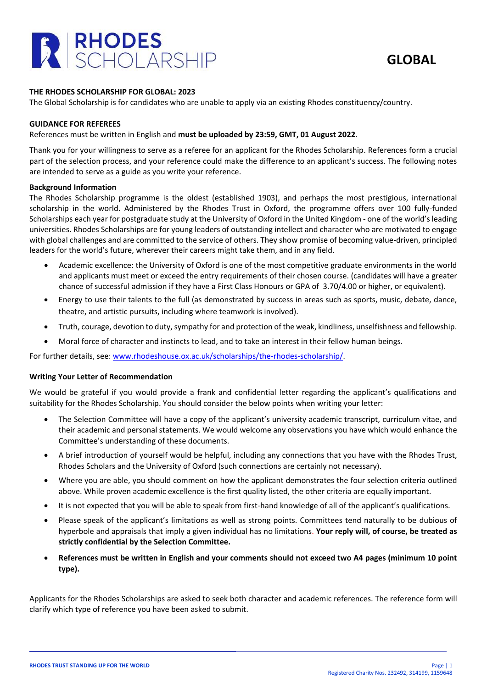

# **THE RHODES SCHOLARSHIP FOR GLOBAL: 2023**

The Global Scholarship is for candidates who are unable to apply via an existing Rhodes constituency/country.

#### **GUIDANCE FOR REFEREES**

## References must be written in English and **must be uploaded by 23:59, GMT, 01 August 2022**.

Thank you for your willingness to serve as a referee for an applicant for the Rhodes Scholarship. References form a crucial part of the selection process, and your reference could make the difference to an applicant's success. The following notes are intended to serve as a guide as you write your reference.

## **Background Information**

The Rhodes Scholarship programme is the oldest (established 1903), and perhaps the most prestigious, international scholarship in the world. Administered by the Rhodes Trust in Oxford, the programme offers over 100 fully-funded Scholarships each year for postgraduate study at the University of Oxford in the United Kingdom - one of the world's leading universities. Rhodes Scholarships are for young leaders of outstanding intellect and character who are motivated to engage with global challenges and are committed to the service of others. They show promise of becoming value-driven, principled leaders for the world's future, wherever their careers might take them, and in any field.

- Academic excellence: the University of Oxford is one of the most competitive graduate environments in the world and applicants must meet or exceed the entry requirements of their chosen course. (candidates will have a greater chance of successful admission if they have a First Class Honours or GPA of 3.70/4.00 or higher, or equivalent).
- Energy to use their talents to the full (as demonstrated by success in areas such as sports, music, debate, dance, theatre, and artistic pursuits, including where teamwork is involved).
- Truth, courage, devotion to duty, sympathy for and protection of the weak, kindliness, unselfishness and fellowship.
- Moral force of character and instincts to lead, and to take an interest in their fellow human beings.

For further details, see: [www.rhodeshouse.ox.ac.uk/scholarships/the-rhodes-scholarship/.](http://www.rhodeshouse.ox.ac.uk/scholarships/the-rhodes-scholarship/)

#### **Writing Your Letter of Recommendation**

We would be grateful if you would provide a frank and confidential letter regarding the applicant's qualifications and suitability for the Rhodes Scholarship. You should consider the below points when writing your letter:

- The Selection Committee will have a copy of the applicant's university academic transcript, curriculum vitae, and their academic and personal statements. We would welcome any observations you have which would enhance the Committee's understanding of these documents.
- A brief introduction of yourself would be helpful, including any connections that you have with the Rhodes Trust, Rhodes Scholars and the University of Oxford (such connections are certainly not necessary).
- Where you are able, you should comment on how the applicant demonstrates the four selection criteria outlined above. While proven academic excellence is the first quality listed, the other criteria are equally important.
- It is not expected that you will be able to speak from first-hand knowledge of all of the applicant's qualifications.
- Please speak of the applicant's limitations as well as strong points. Committees tend naturally to be dubious of hyperbole and appraisals that imply a given individual has no limitations. **Your reply will, of course, be treated as strictly confidential by the Selection Committee.**
- **References must be written in English and your comments should not exceed two A4 pages (minimum 10 point type).**

Applicants for the Rhodes Scholarships are asked to seek both character and academic references. The reference form will clarify which type of reference you have been asked to submit.